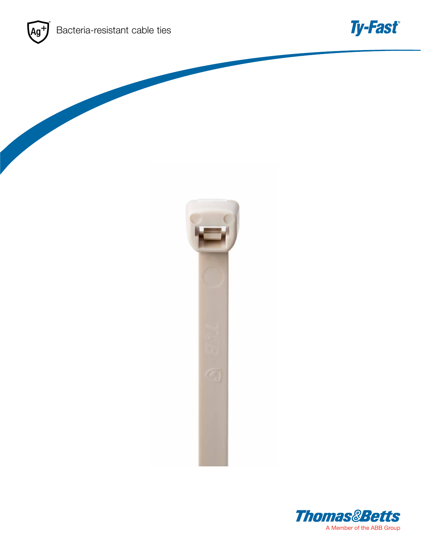



**Ty-Fast®**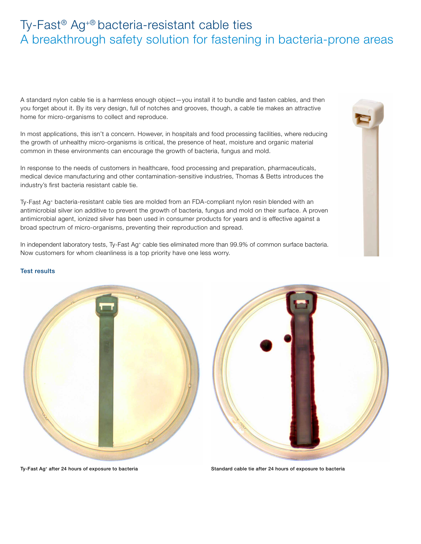# Ty-Fast® Ag+® bacteria-resistant cable ties A breakthrough safety solution for fastening in bacteria-prone areas

A standard nylon cable tie is a harmless enough object—you install it to bundle and fasten cables, and then you forget about it. By its very design, full of notches and grooves, though, a cable tie makes an attractive home for micro-organisms to collect and reproduce.

In most applications, this isn't a concern. However, in hospitals and food processing facilities, where reducing the growth of unhealthy micro-organisms is critical, the presence of heat, moisture and organic material common in these environments can encourage the growth of bacteria, fungus and mold.

In response to the needs of customers in healthcare, food processing and preparation, pharmaceuticals, medical device manufacturing and other contamination-sensitive industries, Thomas & Betts introduces the industry's first bacteria resistant cable tie.

Ty-Fast Ag+ bacteria-resistant cable ties are molded from an FDA-compliant nylon resin blended with an antimicrobial silver ion additive to prevent the growth of bacteria, fungus and mold on their surface. A proven antimicrobial agent, ionized silver has been used in consumer products for years and is effective against a broad spectrum of micro-organisms, preventing their reproduction and spread.

In independent laboratory tests, Ty-Fast Ag+ cable ties eliminated more than 99.9% of common surface bacteria. Now customers for whom cleanliness is a top priority have one less worry.

## Test results

Ty-Fast Ag+ after 24 hours of exposure to bacteria Standard cable tie after 24 hours of exposure to bacteria





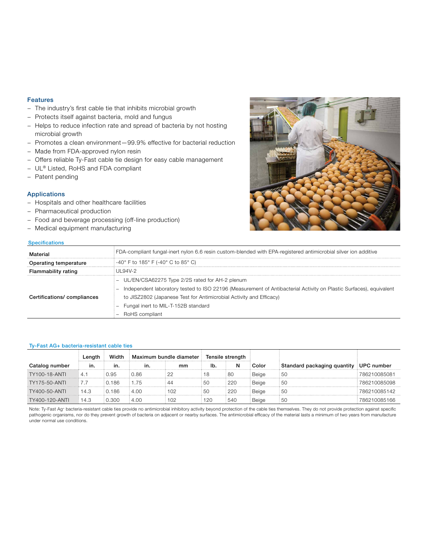## Features

- − The industry's first cable tie that inhibits microbial growth
- − Protects itself against bacteria, mold and fungus
- − Helps to reduce infection rate and spread of bacteria by not hosting microbial growth
- − Promotes a clean environment—99.9% effective for bacterial reduction
- − Made from FDA-approved nylon resin
- − Offers reliable Ty-Fast cable tie design for easy cable management
- − UL® Listed, RoHS and FDA compliant
- − Patent pending

### Applications

- − Hospitals and other healthcare facilities
- − Pharmaceutical production
- − Food and beverage processing (off-line production)
- − Medical equipment manufacturing

#### **Specifications**



| Material                   | FDA-compliant fungal-inert nylon 6.6 resin custom-blended with EPA-registered antimicrobial silver ion additive    |  |  |  |  |  |
|----------------------------|--------------------------------------------------------------------------------------------------------------------|--|--|--|--|--|
| Operating temperature      | = -40° F to 185° F (-40° C to 85° C)                                                                               |  |  |  |  |  |
| Flammability rating        | : UL94V-2                                                                                                          |  |  |  |  |  |
|                            | UL/EN/CSA62275 Type 2/2S rated for AH-2 plenum                                                                     |  |  |  |  |  |
|                            | Independent laboratory tested to ISO 22196 (Measurement of Antibacterial Activity on Plastic Surfaces), equivalent |  |  |  |  |  |
| Certifications/compliances | to JISZ2802 (Japanese Test for Antimicrobial Activity and Efficacy)                                                |  |  |  |  |  |
|                            | Fungal inert to MIL-T-152B standard                                                                                |  |  |  |  |  |
|                            | RoHS compliant                                                                                                     |  |  |  |  |  |

### Ty-Fast AG+ bacteria-resistant cable ties

|                      | Length | Width  | Maximum bundle diameter |    | Tensile strength |      |         |                                        |              |
|----------------------|--------|--------|-------------------------|----|------------------|------|---------|----------------------------------------|--------------|
| Catalog number       | in.    | in.    | ın.                     | mm | lb.              | N    | Color   | Standard packaging quantity UPC number |              |
| <b>TY100-18-ANTI</b> | 4.1    | ፡ በ 95 | 0.86                    |    |                  | : 80 | : Beige | i 50                                   | 786210085081 |
| <b>TY175-50-ANTI</b> |        | 0.186  | 1.75                    |    | 50               | 220  | Beige   | : 50                                   | 786210085098 |
| <b>TY400-50-ANTI</b> | 14.3   | 0.186  | 4.00                    |    | -50              | 220  | Beige   | ፡ 50                                   | 786210085142 |
| TY400-120-ANTI       | 14.3   | 0.300  | 4.00                    |    | 120              | 540  | Beige   | : 50                                   | 786210085166 |

Note: Ty-Fast Ag+ bacteria-resistant cable ties provide no antimicrobial inhibitory activity beyond protection of the cable ties themselves. They do not provide protection against specific pathogenic organisms, nor do they prevent growth of bacteria on adjacent or nearby surfaces. The antimicrobial efficacy of the material lasts a minimum of two years from manufacture under normal use conditions.